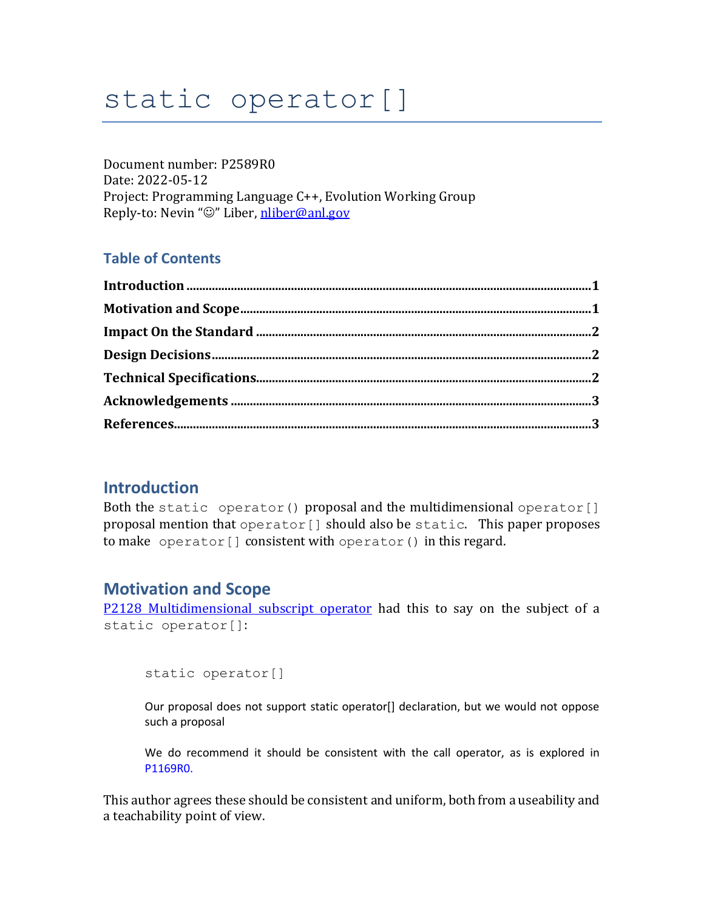# static operator[]

Document number: P2589R0 Date: 2022-05-12 Project: Programming Language C++, Evolution Working Group Reply-to: Nevin "☺" Liber, [nliber@anl.gov](mailto:nliber@anl.gov)

#### **Table of Contents**

#### <span id="page-0-0"></span>**Introduction**

Both the static operator() proposal and the multidimensional operator[] proposal mention that operator [] should also be static. This paper proposes to make operator[] consistent with operator() in this regard.

#### <span id="page-0-1"></span>**Motivation and Scope**

P2128 [Multidimensional subscript operator](https://wg21.link/p2128) had this to say on the subject of a static operator[]:

static operator[]

Our proposal does not support static operator[] declaration, but we would not oppose such a proposal

We do recommend it should be consistent with the call operator, as is explored in P1169R0.

This author agrees these should be consistent and uniform, both from a useability and a teachability point of view.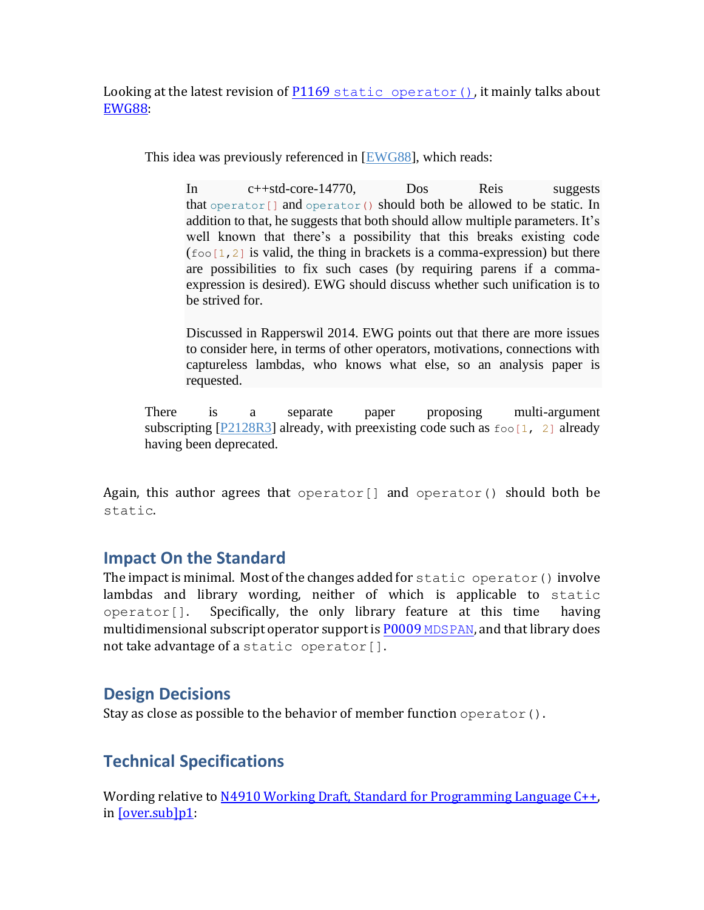Looking at the latest revision of P1169 [static operator\(\)](https://wg21.link/P1169), it mainly talks about [EWG88:](https://wg21.link/ewg88)

This idea was previously referenced in [\[EWG88\]](https://isocpp.org/files/papers/P1169R4.html#ref-EWG88), which reads:

In c++std-core-14770, Dos Reis suggests that operator $\lceil$  and operator() should both be allowed to be static. In addition to that, he suggests that both should allow multiple parameters. It's well known that there's a possibility that this breaks existing code  $(600[1,2]$  is valid, the thing in brackets is a comma-expression) but there are possibilities to fix such cases (by requiring parens if a commaexpression is desired). EWG should discuss whether such unification is to be strived for.

Discussed in Rapperswil 2014. EWG points out that there are more issues to consider here, in terms of other operators, motivations, connections with captureless lambdas, who knows what else, so an analysis paper is requested.

There is a separate paper proposing multi-argument subscripting  $[P2128R3]$  already, with preexisting code such as  $f \circ \circ [1, 2]$  already having been deprecated.

Again, this author agrees that operator[] and operator() should both be static.

# <span id="page-1-0"></span>**Impact On the Standard**

The impact is minimal. Most of the changes added for static operator  $()$  involve lambdas and library wording, neither of which is applicable to static  $\alpha$  operator  $[$ ]. Specifically, the only library feature at this time having multidimensional subscript operator support is P0009 [MDSPAN](https://wg21.link/P0009), and that library does not take advantage of a static operator[].

# <span id="page-1-1"></span>**Design Decisions**

<span id="page-1-2"></span>Stay as close as possible to the behavior of member function operator().

# **Technical Specifications**

Wording relative to [N4910 Working Draft, Standard for Programming Language C++,](https://wg21.link/n4910) in <u>[over.sub]p1</u>: